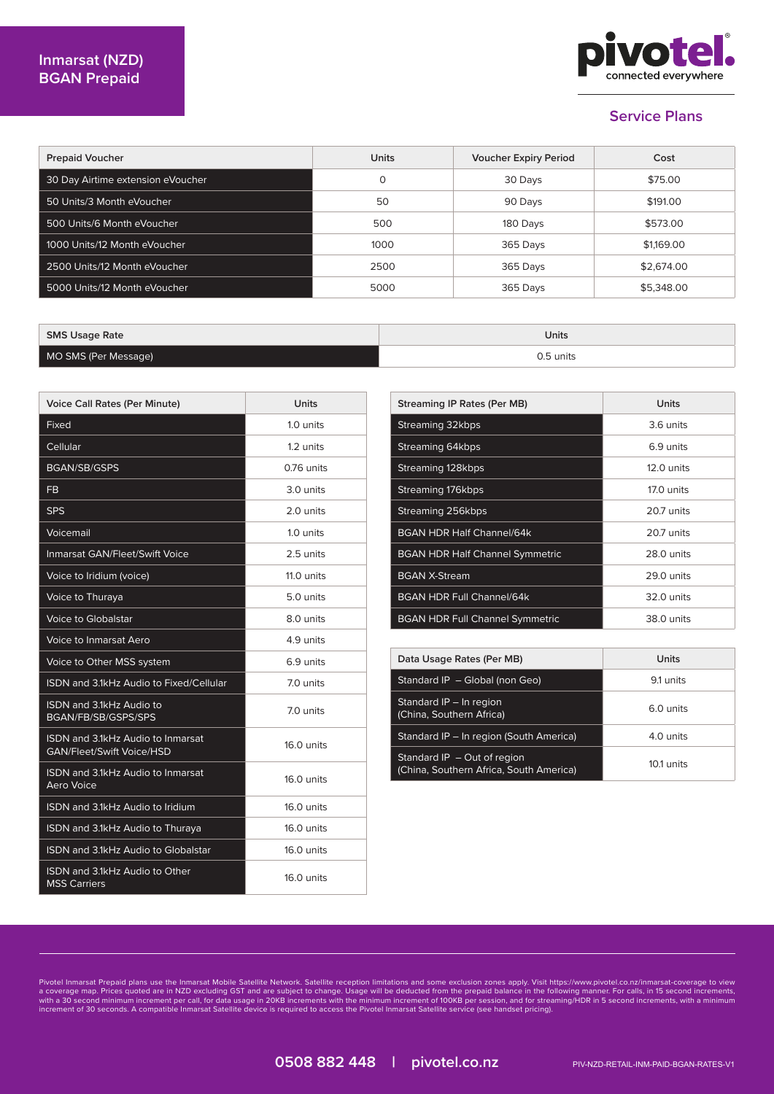

## **Service Plans**

| <b>Prepaid Voucher</b>            | <b>Units</b> | <b>Voucher Expiry Period</b> | Cost       |
|-----------------------------------|--------------|------------------------------|------------|
| 30 Day Airtime extension eVoucher | $\Omega$     | 30 Days                      | \$75.00    |
| 50 Units/3 Month eVoucher         | 50           | 90 Days                      | \$191.00   |
| 500 Units/6 Month eVoucher        | 500          | 180 Days                     | \$573.00   |
| 1000 Units/12 Month eVoucher      | 1000         | 365 Days                     | \$1,169,00 |
| 2500 Units/12 Month eVoucher      | 2500         | 365 Days                     | \$2,674.00 |
| 5000 Units/12 Month eVoucher      | 5000         | 365 Days                     | \$5,348.00 |

| <b>SMS Usage Rate</b> | Units     |
|-----------------------|-----------|
| MO SMS (Per Message)  | 0.5 units |

| <b>Voice Call Rates (Per Minute)</b>                                  | Units      |
|-----------------------------------------------------------------------|------------|
| Fixed                                                                 | 1.0 units  |
| Cellular                                                              | 1.2 units  |
| <b>BGAN/SB/GSPS</b>                                                   | 0.76 units |
| <b>FB</b>                                                             | 3.0 units  |
| <b>SPS</b>                                                            | 2.0 units  |
| Voicemail                                                             | 1.0 units  |
| <b>Inmarsat GAN/Fleet/Swift Voice</b>                                 | 2.5 units  |
| Voice to Iridium (voice)                                              | 11.0 units |
| Voice to Thuraya                                                      | 5.0 units  |
| Voice to Globalstar                                                   | 8.0 units  |
| Voice to Inmarsat Aero                                                | 4.9 units  |
| Voice to Other MSS system                                             | 6.9 units  |
| ISDN and 3.1kHz Audio to Fixed/Cellular                               | 7.0 units  |
| ISDN and 3.1kHz Audio to<br>BGAN/FB/SB/GSPS/SPS                       | 7.0 units  |
| ISDN and 3.1kHz Audio to Inmarsat<br><b>GAN/Fleet/Swift Voice/HSD</b> | 16.0 units |
| <b>ISDN and 3.1kHz Audio to Inmarsat</b><br>Aero Voice                | 16.0 units |
| ISDN and 3.1kHz Audio to Iridium                                      | 16.0 units |
| ISDN and 3.1kHz Audio to Thuraya                                      | 16.0 units |
| ISDN and 3.1kHz Audio to Globalstar                                   | 16.0 units |
| ISDN and 3.1kHz Audio to Other<br><b>MSS Carriers</b>                 | 16,0 units |

| Streaming IP Rates (Per MB)            | Units        |
|----------------------------------------|--------------|
| Streaming 32kbps                       | 3.6 units    |
| Streaming 64kbps                       | 6.9 units    |
| Streaming 128kbps                      | $12.0$ units |
| Streaming 176kbps                      | 17.0 units   |
| Streaming 256kbps                      | 20.7 units   |
| <b>BGAN HDR Half Channel/64k</b>       | 20.7 units   |
| <b>BGAN HDR Half Channel Symmetric</b> | 28.0 units   |
| <b>BGAN X-Stream</b>                   | 29.0 units   |
| <b>BGAN HDR Full Channel/64k</b>       | 32.0 units   |
| <b>BGAN HDR Full Channel Symmetric</b> | 38.0 units   |

| Data Usage Rates (Per MB)                                                | Units      |
|--------------------------------------------------------------------------|------------|
| Standard IP - Global (non Geo)                                           | 9.1 units  |
| Standard IP - In region<br>(China, Southern Africa)                      | 6.0 units  |
| Standard IP - In region (South America)                                  | 4.0 units  |
| Standard $IP - Out$ of region<br>(China, Southern Africa, South America) | 10.1 units |

Pivotel Inmarsat Prepaid plans use the Inmarsat Mobile Satellite Network. Satellite reception limitations and some exclusion zones apply. Visit https://www.pivotel.co.nz/inmarsat-coverage to view<br>a coverage map. Prices quo